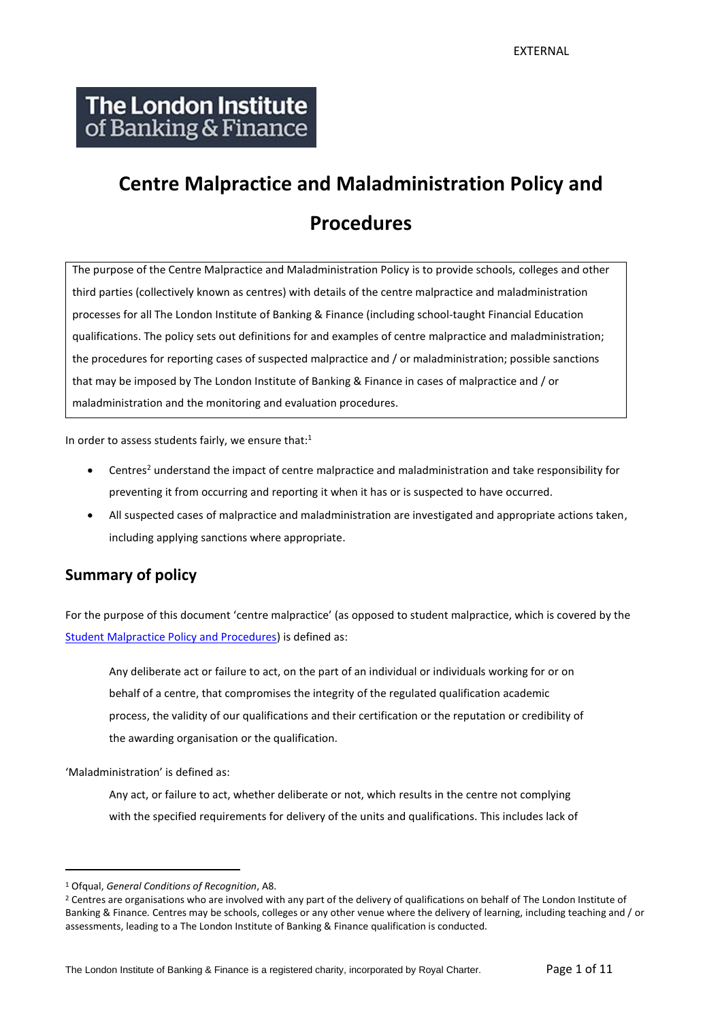# The London Institute of Banking & Finance

# **Centre Malpractice and Maladministration Policy and Procedures**

The purpose of the Centre Malpractice and Maladministration Policy is to provide schools, colleges and other third parties (collectively known as centres) with details of the centre malpractice and maladministration processes for all The London Institute of Banking & Finance (including school-taught Financial Education qualifications. The policy sets out definitions for and examples of centre malpractice and maladministration; the procedures for reporting cases of suspected malpractice and / or maladministration; possible sanctions that may be imposed by The London Institute of Banking & Finance in cases of malpractice and / or maladministration and the monitoring and evaluation procedures.

In order to assess students fairly, we ensure that: $1$ 

- Centres<sup>2</sup> understand the impact of centre malpractice and maladministration and take responsibility for preventing it from occurring and reporting it when it has or is suspected to have occurred.
- All suspected cases of malpractice and maladministration are investigated and appropriate actions taken, including applying sanctions where appropriate.

#### **Summary of policy**

For the purpose of this document 'centre malpractice' (as opposed to student malpractice, which is covered by the [Student Malpractice Policy and Procedures\)](http://www.libf.ac.uk/docs/default-source/financial-capability/fc-policies/fc-student-malpractice-policy.pdf?sfvrsn=2) is defined as:

Any deliberate act or failure to act, on the part of an individual or individuals working for or on behalf of a centre, that compromises the integrity of the regulated qualification academic process, the validity of our qualifications and their certification or the reputation or credibility of the awarding organisation or the qualification.

'Maladministration' is defined as:

Any act, or failure to act, whether deliberate or not, which results in the centre not complying with the specified requirements for delivery of the units and qualifications. This includes lack of

<sup>1</sup> Ofqual, *General Conditions of Recognition*, A8.

<sup>&</sup>lt;sup>2</sup> Centres are organisations who are involved with any part of the delivery of qualifications on behalf of The London Institute of Banking & Finance*.* Centres may be schools, colleges or any other venue where the delivery of learning, including teaching and / or assessments, leading to a The London Institute of Banking & Finance qualification is conducted.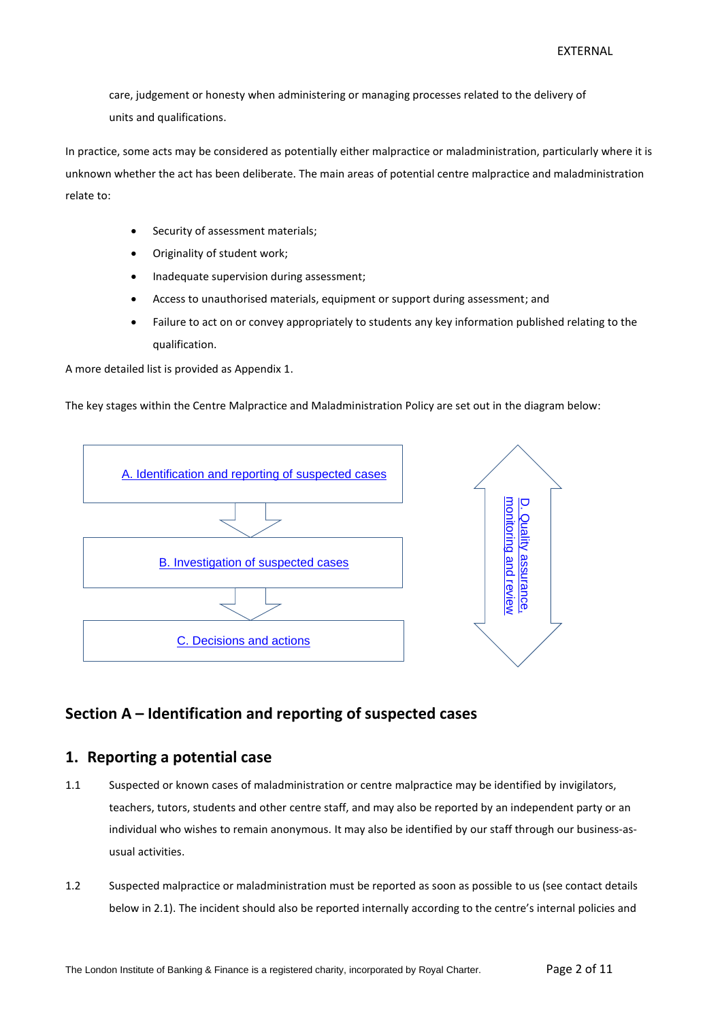care, judgement or honesty when administering or managing processes related to the delivery of units and qualifications.

In practice, some acts may be considered as potentially either malpractice or maladministration, particularly where it is unknown whether the act has been deliberate. The main areas of potential centre malpractice and maladministration relate to:

- Security of assessment materials;
- Originality of student work;
- Inadequate supervision during assessment;
- Access to unauthorised materials, equipment or support during assessment; and
- Failure to act on or convey appropriately to students any key information published relating to the qualification.

A more detailed list is provided as Appendix 1.

The key stages within the Centre Malpractice and Maladministration Policy are set out in the diagram below:



#### <span id="page-1-0"></span>**Section A – Identification and reporting of suspected cases**

#### **1. Reporting a potential case**

- 1.1 Suspected or known cases of maladministration or centre malpractice may be identified by invigilators, teachers, tutors, students and other centre staff, and may also be reported by an independent party or an individual who wishes to remain anonymous. It may also be identified by our staff through our business-asusual activities.
- 1.2 Suspected malpractice or maladministration must be reported as soon as possible to us (see contact details below in 2.1). The incident should also be reported internally according to the centre's internal policies and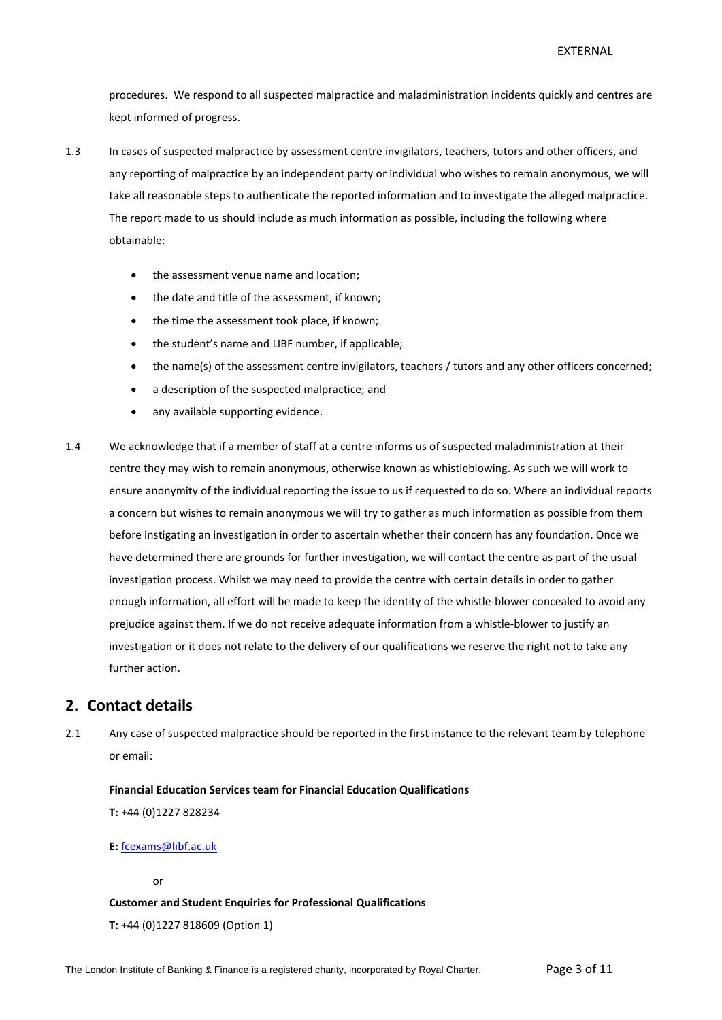procedures. We respond to all suspected malpractice and maladministration incidents quickly and centres are kept informed of progress.

- 1.3 In cases of suspected malpractice by assessment centre invigilators, teachers, tutors and other officers, and any reporting of malpractice by an independent party or individual who wishes to remain anonymous, we will take all reasonable steps to authenticate the reported information and to investigate the alleged malpractice. The report made to us should include as much information as possible, including the following where obtainable:
	- the assessment venue name and location;
	- the date and title of the assessment, if known;
	- the time the assessment took place, if known;
	- the student's name and LIBF number, if applicable;
	- the name(s) of the assessment centre invigilators, teachers / tutors and any other officers concerned;
	- a description of the suspected malpractice; and
	- any available supporting evidence.
- 1.4 We acknowledge that if a member of staff at a centre informs us of suspected maladministration at their centre they may wish to remain anonymous, otherwise known as whistleblowing. As such we will work to ensure anonymity of the individual reporting the issue to us if requested to do so. Where an individual reports a concern but wishes to remain anonymous we will try to gather as much information as possible from them before instigating an investigation in order to ascertain whether their concern has any foundation. Once we have determined there are grounds for further investigation, we will contact the centre as part of the usual investigation process. Whilst we may need to provide the centre with certain details in order to gather enough information, all effort will be made to keep the identity of the whistle-blower concealed to avoid any prejudice against them. If we do not receive adequate information from a whistle-blower to justify an investigation or it does not relate to the delivery of our qualifications we reserve the right not to take any further action.

#### **2. Contact details**

2.1 Any case of suspected malpractice should be reported in the first instance to the relevant team by telephone or email:

**Financial Education Services team for Financial Education Qualifications**

**T:** +44 (0)1227 828234

**E:** [fcexams@libf.ac.uk](mailto:fcexams@libf.ac.uk)

or

#### **Customer and Student Enquiries for Professional Qualifications**

**T:** +44 (0)1227 818609 (Option 1)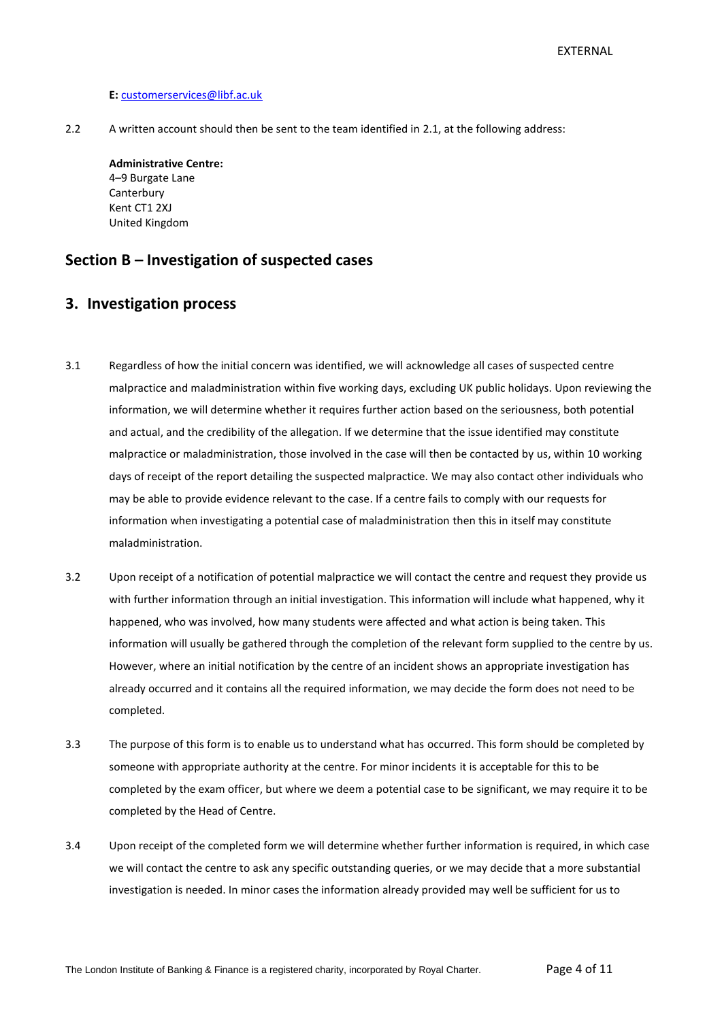#### **E:** [customerservices@libf.ac.uk](mailto:customerservices@libf.ac.uk)

2.2 A written account should then be sent to the team identified in 2.1, at the following address:

**Administrative Centre:** 4–9 Burgate Lane **Canterbury** Kent CT1 2XJ United Kingdom

#### <span id="page-3-0"></span>**Section B – Investigation of suspected cases**

#### **3. Investigation process**

- 3.1 Regardless of how the initial concern was identified, we will acknowledge all cases of suspected centre malpractice and maladministration within five working days, excluding UK public holidays. Upon reviewing the information, we will determine whether it requires further action based on the seriousness, both potential and actual, and the credibility of the allegation. If we determine that the issue identified may constitute malpractice or maladministration, those involved in the case will then be contacted by us, within 10 working days of receipt of the report detailing the suspected malpractice. We may also contact other individuals who may be able to provide evidence relevant to the case. If a centre fails to comply with our requests for information when investigating a potential case of maladministration then this in itself may constitute maladministration.
- 3.2 Upon receipt of a notification of potential malpractice we will contact the centre and request they provide us with further information through an initial investigation. This information will include what happened, why it happened, who was involved, how many students were affected and what action is being taken. This information will usually be gathered through the completion of the relevant form supplied to the centre by us. However, where an initial notification by the centre of an incident shows an appropriate investigation has already occurred and it contains all the required information, we may decide the form does not need to be completed.
- 3.3 The purpose of this form is to enable us to understand what has occurred. This form should be completed by someone with appropriate authority at the centre. For minor incidents it is acceptable for this to be completed by the exam officer, but where we deem a potential case to be significant, we may require it to be completed by the Head of Centre.
- 3.4 Upon receipt of the completed form we will determine whether further information is required, in which case we will contact the centre to ask any specific outstanding queries, or we may decide that a more substantial investigation is needed. In minor cases the information already provided may well be sufficient for us to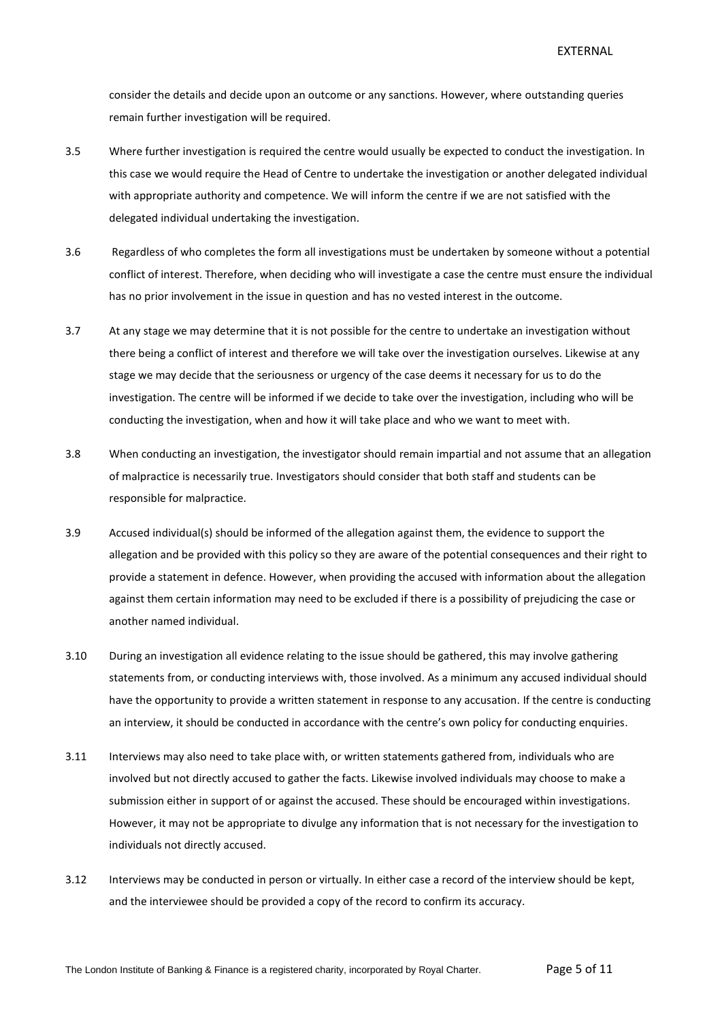consider the details and decide upon an outcome or any sanctions. However, where outstanding queries remain further investigation will be required.

- 3.5 Where further investigation is required the centre would usually be expected to conduct the investigation. In this case we would require the Head of Centre to undertake the investigation or another delegated individual with appropriate authority and competence. We will inform the centre if we are not satisfied with the delegated individual undertaking the investigation.
- 3.6 Regardless of who completes the form all investigations must be undertaken by someone without a potential conflict of interest. Therefore, when deciding who will investigate a case the centre must ensure the individual has no prior involvement in the issue in question and has no vested interest in the outcome.
- 3.7 At any stage we may determine that it is not possible for the centre to undertake an investigation without there being a conflict of interest and therefore we will take over the investigation ourselves. Likewise at any stage we may decide that the seriousness or urgency of the case deems it necessary for us to do the investigation. The centre will be informed if we decide to take over the investigation, including who will be conducting the investigation, when and how it will take place and who we want to meet with.
- 3.8 When conducting an investigation, the investigator should remain impartial and not assume that an allegation of malpractice is necessarily true. Investigators should consider that both staff and students can be responsible for malpractice.
- 3.9 Accused individual(s) should be informed of the allegation against them, the evidence to support the allegation and be provided with this policy so they are aware of the potential consequences and their right to provide a statement in defence. However, when providing the accused with information about the allegation against them certain information may need to be excluded if there is a possibility of prejudicing the case or another named individual.
- 3.10 During an investigation all evidence relating to the issue should be gathered, this may involve gathering statements from, or conducting interviews with, those involved. As a minimum any accused individual should have the opportunity to provide a written statement in response to any accusation. If the centre is conducting an interview, it should be conducted in accordance with the centre's own policy for conducting enquiries.
- 3.11 Interviews may also need to take place with, or written statements gathered from, individuals who are involved but not directly accused to gather the facts. Likewise involved individuals may choose to make a submission either in support of or against the accused. These should be encouraged within investigations. However, it may not be appropriate to divulge any information that is not necessary for the investigation to individuals not directly accused.
- 3.12 Interviews may be conducted in person or virtually. In either case a record of the interview should be kept, and the interviewee should be provided a copy of the record to confirm its accuracy.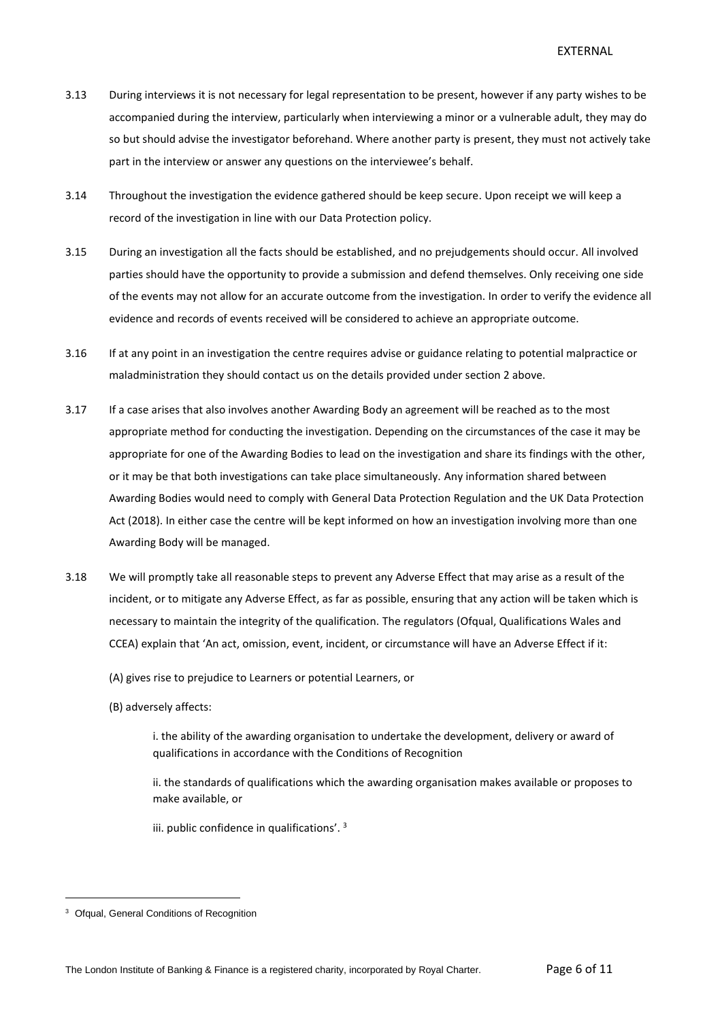- 3.13 During interviews it is not necessary for legal representation to be present, however if any party wishes to be accompanied during the interview, particularly when interviewing a minor or a vulnerable adult, they may do so but should advise the investigator beforehand. Where another party is present, they must not actively take part in the interview or answer any questions on the interviewee's behalf.
- 3.14 Throughout the investigation the evidence gathered should be keep secure. Upon receipt we will keep a record of the investigation in line with our Data Protection policy.
- 3.15 During an investigation all the facts should be established, and no prejudgements should occur. All involved parties should have the opportunity to provide a submission and defend themselves. Only receiving one side of the events may not allow for an accurate outcome from the investigation. In order to verify the evidence all evidence and records of events received will be considered to achieve an appropriate outcome.
- 3.16 If at any point in an investigation the centre requires advise or guidance relating to potential malpractice or maladministration they should contact us on the details provided under section 2 above.
- 3.17 If a case arises that also involves another Awarding Body an agreement will be reached as to the most appropriate method for conducting the investigation. Depending on the circumstances of the case it may be appropriate for one of the Awarding Bodies to lead on the investigation and share its findings with the other, or it may be that both investigations can take place simultaneously. Any information shared between Awarding Bodies would need to comply with General Data Protection Regulation and the UK Data Protection Act (2018). In either case the centre will be kept informed on how an investigation involving more than one Awarding Body will be managed.
- 3.18 We will promptly take all reasonable steps to prevent any Adverse Effect that may arise as a result of the incident, or to mitigate any Adverse Effect, as far as possible, ensuring that any action will be taken which is necessary to maintain the integrity of the qualification. The regulators (Ofqual, Qualifications Wales and CCEA) explain that 'An act, omission, event, incident, or circumstance will have an Adverse Effect if it:

(A) gives rise to prejudice to Learners or potential Learners, or

(B) adversely affects:

i. the ability of the awarding organisation to undertake the development, delivery or award of qualifications in accordance with the Conditions of Recognition

ii. the standards of qualifications which the awarding organisation makes available or proposes to make available, or

iii. public confidence in qualifications'. <sup>3</sup>

<sup>&</sup>lt;sup>3</sup> Ofqual, General Conditions of Recognition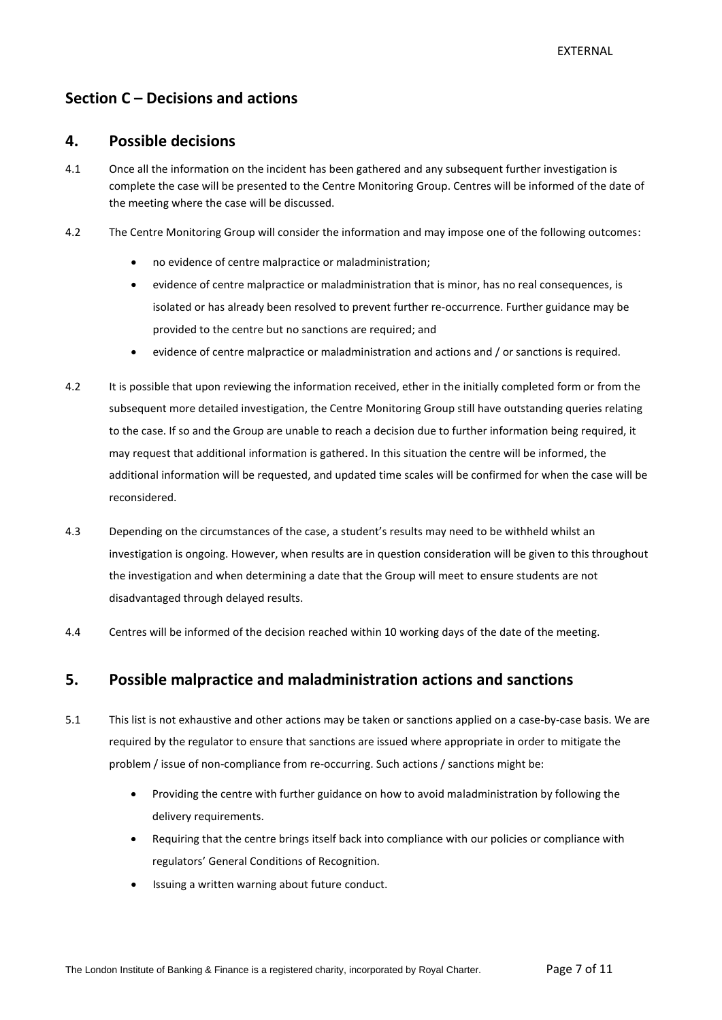#### <span id="page-6-0"></span>**Section C – Decisions and actions**

#### **4. Possible decisions**

- 4.1 Once all the information on the incident has been gathered and any subsequent further investigation is complete the case will be presented to the Centre Monitoring Group. Centres will be informed of the date of the meeting where the case will be discussed.
- 4.2 The Centre Monitoring Group will consider the information and may impose one of the following outcomes:
	- no evidence of centre malpractice or maladministration;
	- evidence of centre malpractice or maladministration that is minor, has no real consequences, is isolated or has already been resolved to prevent further re-occurrence. Further guidance may be provided to the centre but no sanctions are required; and
	- evidence of centre malpractice or maladministration and actions and / or sanctions is required.
- 4.2 It is possible that upon reviewing the information received, ether in the initially completed form or from the subsequent more detailed investigation, the Centre Monitoring Group still have outstanding queries relating to the case. If so and the Group are unable to reach a decision due to further information being required, it may request that additional information is gathered. In this situation the centre will be informed, the additional information will be requested, and updated time scales will be confirmed for when the case will be reconsidered.
- 4.3 Depending on the circumstances of the case, a student's results may need to be withheld whilst an investigation is ongoing. However, when results are in question consideration will be given to this throughout the investigation and when determining a date that the Group will meet to ensure students are not disadvantaged through delayed results.
- 4.4 Centres will be informed of the decision reached within 10 working days of the date of the meeting.

#### **5. Possible malpractice and maladministration actions and sanctions**

- 5.1 This list is not exhaustive and other actions may be taken or sanctions applied on a case-by-case basis. We are required by the regulator to ensure that sanctions are issued where appropriate in order to mitigate the problem / issue of non-compliance from re-occurring. Such actions / sanctions might be:
	- Providing the centre with further guidance on how to avoid maladministration by following the delivery requirements.
	- Requiring that the centre brings itself back into compliance with our policies or compliance with regulators' General Conditions of Recognition.
	- Issuing a written warning about future conduct.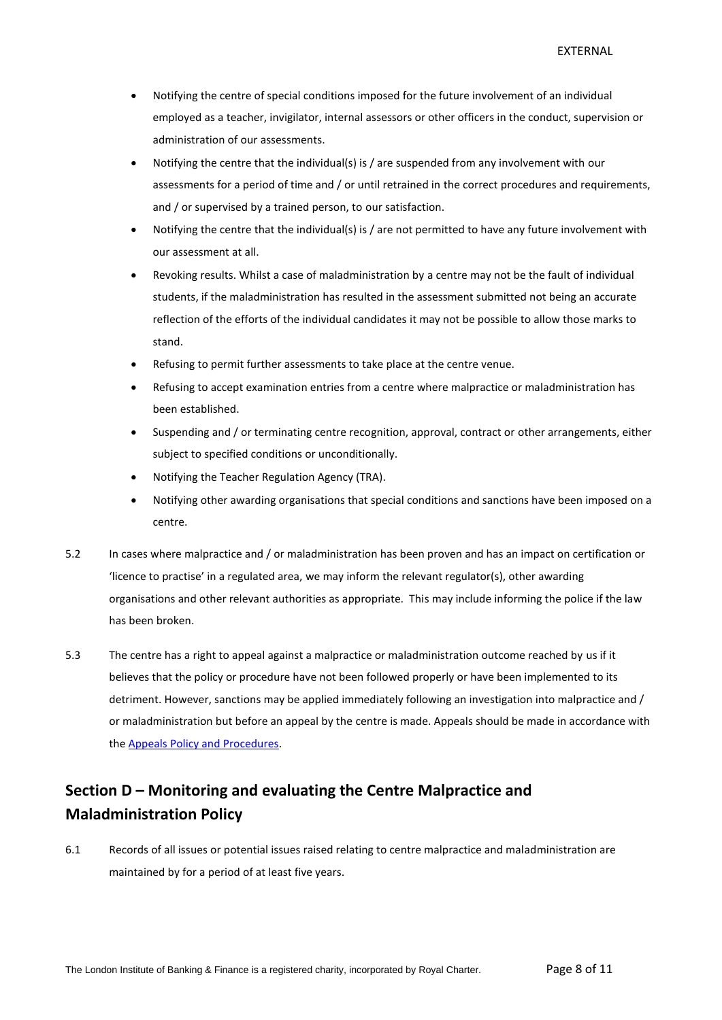- Notifying the centre of special conditions imposed for the future involvement of an individual employed as a teacher, invigilator, internal assessors or other officers in the conduct, supervision or administration of our assessments.
- Notifying the centre that the individual(s) is / are suspended from any involvement with our assessments for a period of time and / or until retrained in the correct procedures and requirements, and / or supervised by a trained person, to our satisfaction.
- Notifying the centre that the individual(s) is / are not permitted to have any future involvement with our assessment at all.
- Revoking results. Whilst a case of maladministration by a centre may not be the fault of individual students, if the maladministration has resulted in the assessment submitted not being an accurate reflection of the efforts of the individual candidates it may not be possible to allow those marks to stand.
- Refusing to permit further assessments to take place at the centre venue.
- Refusing to accept examination entries from a centre where malpractice or maladministration has been established.
- Suspending and / or terminating centre recognition, approval, contract or other arrangements, either subject to specified conditions or unconditionally.
- Notifying the Teacher Regulation Agency (TRA).
- Notifying other awarding organisations that special conditions and sanctions have been imposed on a centre.
- 5.2 In cases where malpractice and / or maladministration has been proven and has an impact on certification or 'licence to practise' in a regulated area, we may inform the relevant regulator(s), other awarding organisations and other relevant authorities as appropriate. This may include informing the police if the law has been broken.
- 5.3 The centre has a right to appeal against a malpractice or maladministration outcome reached by us if it believes that the policy or procedure have not been followed properly or have been implemented to its detriment. However, sanctions may be applied immediately following an investigation into malpractice and / or maladministration but before an appeal by the centre is made. Appeals should be made in accordance with the [Appeals Policy and Procedures.](http://www.libf.ac.uk/docs/default-source/Shared-FC-CPQ-policies/Shared-FC-CPQ-policies/appeals-policy.pdf?sfvrsn=0)

### <span id="page-7-0"></span>**Section D – Monitoring and evaluating the Centre Malpractice and Maladministration Policy**

6.1 Records of all issues or potential issues raised relating to centre malpractice and maladministration are maintained by for a period of at least five years.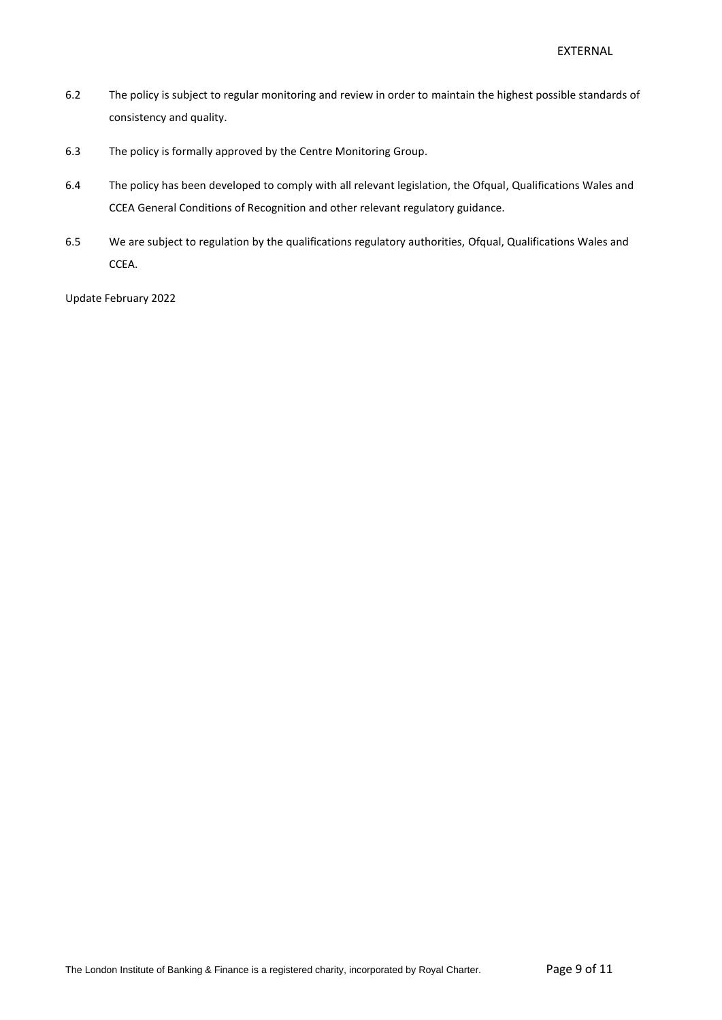- 6.2 The policy is subject to regular monitoring and review in order to maintain the highest possible standards of consistency and quality.
- 6.3 The policy is formally approved by the Centre Monitoring Group.
- 6.4 The policy has been developed to comply with all relevant legislation, the Ofqual, Qualifications Wales and CCEA General Conditions of Recognition and other relevant regulatory guidance.
- 6.5 We are subject to regulation by the qualifications regulatory authorities, Ofqual, Qualifications Wales and CCEA.

Update February 2022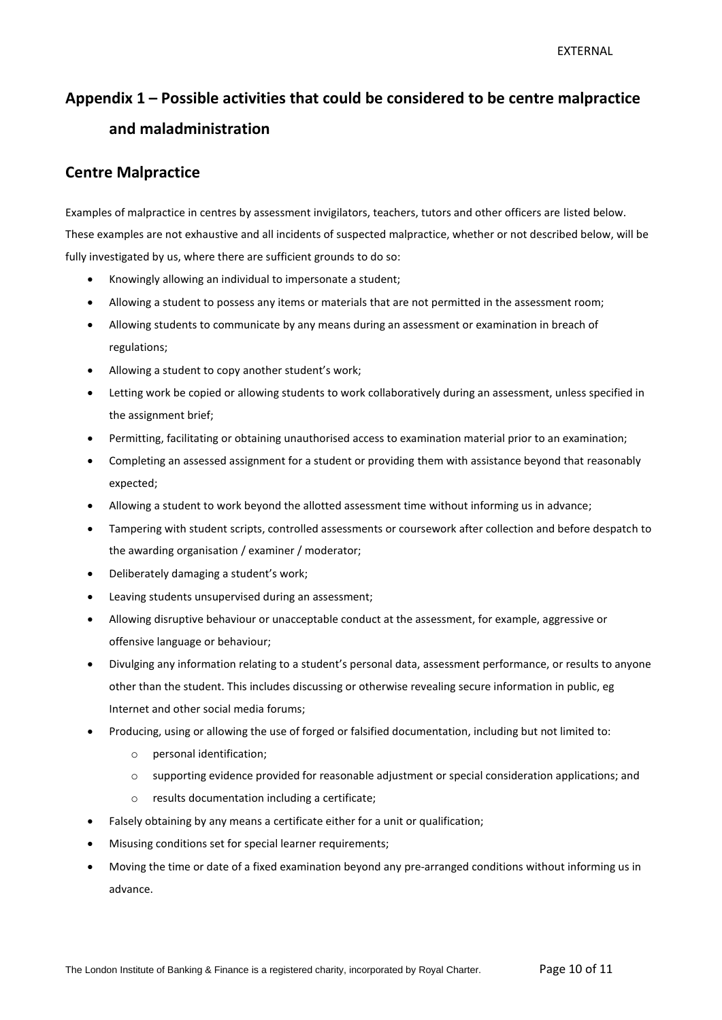## **Appendix 1 – Possible activities that could be considered to be centre malpractice and maladministration**

#### **Centre Malpractice**

Examples of malpractice in centres by assessment invigilators, teachers, tutors and other officers are listed below. These examples are not exhaustive and all incidents of suspected malpractice, whether or not described below, will be fully investigated by us, where there are sufficient grounds to do so:

- Knowingly allowing an individual to impersonate a student;
- Allowing a student to possess any items or materials that are not permitted in the assessment room;
- Allowing students to communicate by any means during an assessment or examination in breach of regulations;
- Allowing a student to copy another student's work;
- Letting work be copied or allowing students to work collaboratively during an assessment, unless specified in the assignment brief;
- Permitting, facilitating or obtaining unauthorised access to examination material prior to an examination;
- Completing an assessed assignment for a student or providing them with assistance beyond that reasonably expected;
- Allowing a student to work beyond the allotted assessment time without informing us in advance;
- Tampering with student scripts, controlled assessments or coursework after collection and before despatch to the awarding organisation / examiner / moderator;
- Deliberately damaging a student's work;
- Leaving students unsupervised during an assessment;
- Allowing disruptive behaviour or unacceptable conduct at the assessment, for example, aggressive or offensive language or behaviour;
- Divulging any information relating to a student's personal data, assessment performance, or results to anyone other than the student. This includes discussing or otherwise revealing secure information in public, eg Internet and other social media forums;
- Producing, using or allowing the use of forged or falsified documentation, including but not limited to:
	- o personal identification;
	- $\circ$  supporting evidence provided for reasonable adjustment or special consideration applications; and
	- o results documentation including a certificate;
- Falsely obtaining by any means a certificate either for a unit or qualification;
- Misusing conditions set for special learner requirements;
- Moving the time or date of a fixed examination beyond any pre-arranged conditions without informing us in advance.